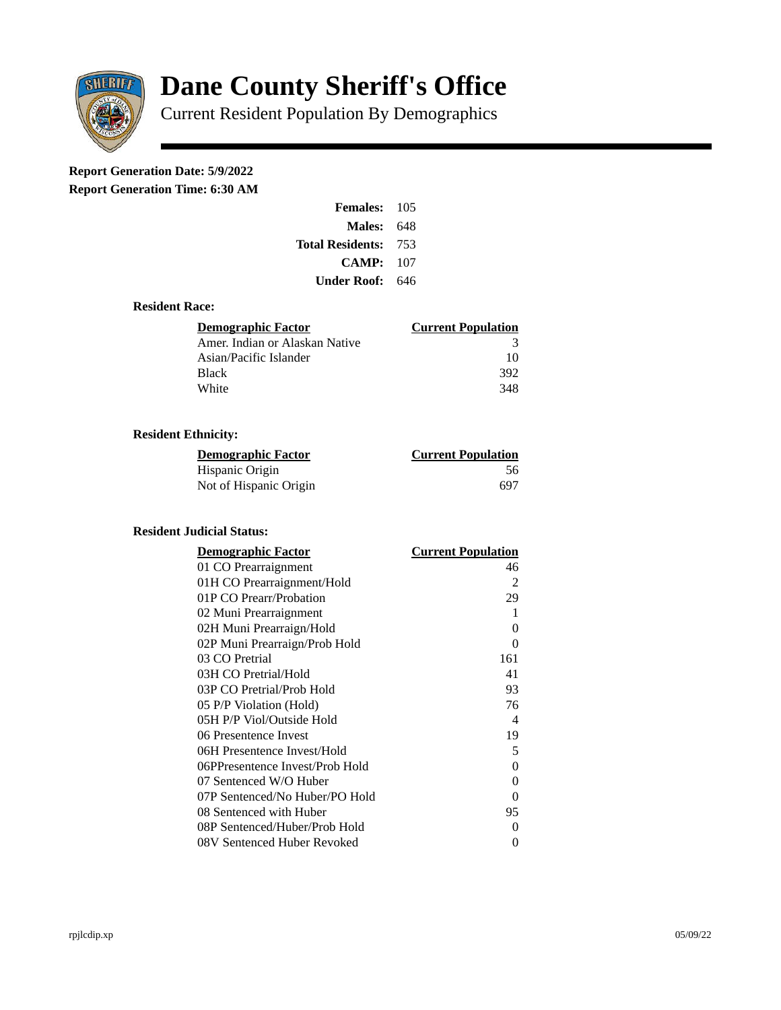

# **Dane County Sheriff's Office**

Current Resident Population By Demographics

## **Report Generation Date: 5/9/2022**

**Report Generation Time: 6:30 AM** 

| Females: 105                |  |
|-----------------------------|--|
| <b>Males: 648</b>           |  |
| <b>Total Residents: 753</b> |  |
| CAMP: 107                   |  |
| <b>Under Roof: 646</b>      |  |

#### **Resident Race:**

| Demographic Factor             | <b>Current Population</b> |
|--------------------------------|---------------------------|
| Amer. Indian or Alaskan Native | 3                         |
| Asian/Pacific Islander         | 10                        |
| Black                          | 392                       |
| White                          | 348                       |

### **Resident Ethnicity:**

| <u>Demographic Factor</u> | <b>Current Population</b> |
|---------------------------|---------------------------|
| Hispanic Origin           | 56                        |
| Not of Hispanic Origin    | 697                       |

#### **Resident Judicial Status:**

| <u>Demographic Factor</u>       | <u> Current Population</u> |
|---------------------------------|----------------------------|
| 01 CO Prearraignment            | 46                         |
| 01H CO Prearraignment/Hold      | 2                          |
| 01P CO Prearr/Probation         | 29                         |
| 02 Muni Prearraignment          | 1                          |
| 02H Muni Prearraign/Hold        | 0                          |
| 02P Muni Prearraign/Prob Hold   | 0                          |
| 03 CO Pretrial                  | 161                        |
| 03H CO Pretrial/Hold            | 41                         |
| 03P CO Pretrial/Prob Hold       | 93                         |
| 05 P/P Violation (Hold)         | 76                         |
| 05H P/P Viol/Outside Hold       | 4                          |
| 06 Presentence Invest           | 19                         |
| 06H Presentence Invest/Hold     | 5                          |
| 06PPresentence Invest/Prob Hold | 0                          |
| 07 Sentenced W/O Huber          | 0                          |
| 07P Sentenced/No Huber/PO Hold  | 0                          |
| 08 Sentenced with Huber         | 95                         |
| 08P Sentenced/Huber/Prob Hold   | 0                          |
| 08V Sentenced Huber Revoked     | 0                          |